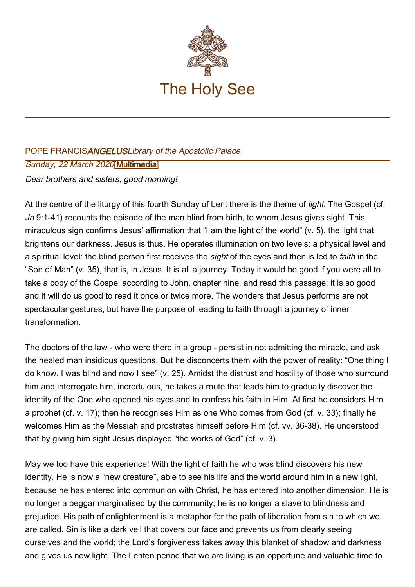

## POPE FRANCISANGELUSLibrary of the Apostolic Palace Sunday, 22 March 2020[[Multimedia\]](http://w2.vatican.va/content/francesco/en/events/event.dir.html/content/vaticanevents/en/2020/3/22/angelus.html) Dear brothers and sisters, good morning!

At the centre of the liturgy of this fourth Sunday of Lent there is the theme of *light*. The Gospel (cf. Jn 9:1-41) recounts the episode of the man blind from birth, to whom Jesus gives sight. This miraculous sign confirms Jesus' affirmation that "I am the light of the world" (v. 5), the light that brightens our darkness. Jesus is thus. He operates illumination on two levels: a physical level and a spiritual level: the blind person first receives the *sight* of the eyes and then is led to *faith* in the "Son of Man" (v. 35), that is, in Jesus. It is all a journey. Today it would be good if you were all to take a copy of the Gospel according to John, chapter nine, and read this passage: it is so good and it will do us good to read it once or twice more. The wonders that Jesus performs are not spectacular gestures, but have the purpose of leading to faith through a journey of inner transformation.

The doctors of the law - who were there in a group - persist in not admitting the miracle, and ask the healed man insidious questions. But he disconcerts them with the power of reality: "One thing I do know. I was blind and now I see" (v. 25). Amidst the distrust and hostility of those who surround him and interrogate him, incredulous, he takes a route that leads him to gradually discover the identity of the One who opened his eyes and to confess his faith in Him. At first he considers Him a prophet (cf. v. 17); then he recognises Him as one Who comes from God (cf. v. 33); finally he welcomes Him as the Messiah and prostrates himself before Him (cf. vv. 36-38). He understood that by giving him sight Jesus displayed "the works of God" (cf. v. 3).

May we too have this experience! With the light of faith he who was blind discovers his new identity. He is now a "new creature", able to see his life and the world around him in a new light, because he has entered into communion with Christ, he has entered into another dimension. He is no longer a beggar marginalised by the community; he is no longer a slave to blindness and prejudice. His path of enlightenment is a metaphor for the path of liberation from sin to which we are called. Sin is like a dark veil that covers our face and prevents us from clearly seeing ourselves and the world; the Lord's forgiveness takes away this blanket of shadow and darkness and gives us new light. The Lenten period that we are living is an opportune and valuable time to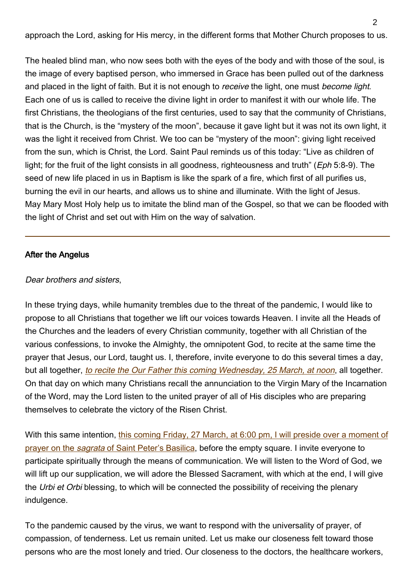approach the Lord, asking for His mercy, in the different forms that Mother Church proposes to us.

The healed blind man, who now sees both with the eyes of the body and with those of the soul, is the image of every baptised person, who immersed in Grace has been pulled out of the darkness and placed in the light of faith. But it is not enough to receive the light, one must become light. Each one of us is called to receive the divine light in order to manifest it with our whole life. The first Christians, the theologians of the first centuries, used to say that the community of Christians, that is the Church, is the "mystery of the moon", because it gave light but it was not its own light, it was the light it received from Christ. We too can be "mystery of the moon": giving light received from the sun, which is Christ, the Lord. Saint Paul reminds us of this today: "Live as children of light; for the fruit of the light consists in all goodness, righteousness and truth" (*Eph* 5:8-9). The seed of new life placed in us in Baptism is like the spark of a fire, which first of all purifies us, burning the evil in our hearts, and allows us to shine and illuminate. With the light of Jesus. May Mary Most Holy help us to imitate the blind man of the Gospel, so that we can be flooded with the light of Christ and set out with Him on the way of salvation.

## After the Angelus

## Dear brothers and sisters,

In these trying days, while humanity trembles due to the threat of the pandemic, I would like to propose to all Christians that together we lift our voices towards Heaven. I invite all the Heads of the Churches and the leaders of every Christian community, together with all Christian of the various confessions, to invoke the Almighty, the omnipotent God, to recite at the same time the prayer that Jesus, our Lord, taught us. I, therefore, invite everyone to do this several times a day, but all together, [to recite the Our Father this coming Wednesday, 25 March, at noon](http://w2.vatican.va/content/francesco/en/events/event.dir.html/content/vaticanevents/en/2020/3/25/recita-padrenostro.html), all together. On that day on which many Christians recall the annunciation to the Virgin Mary of the Incarnation of the Word, may the Lord listen to the united prayer of all of His disciples who are preparing themselves to celebrate the victory of the Risen Christ.

With this same intention, [this coming Friday, 27 March, at 6:00 pm, I will preside over a moment of](http://w2.vatican.va/content/francesco/en/homilies/2020/documents/papa-francesco_20200327_omelia-epidemia.html) [prayer on the](http://w2.vatican.va/content/francesco/en/homilies/2020/documents/papa-francesco_20200327_omelia-epidemia.html) sagrata [of Saint Peter's Basilica](http://w2.vatican.va/content/francesco/en/homilies/2020/documents/papa-francesco_20200327_omelia-epidemia.html), before the empty square. I invite everyone to participate spiritually through the means of communication. We will listen to the Word of God, we will lift up our supplication, we will adore the Blessed Sacrament, with which at the end, I will give the Urbi et Orbi blessing, to which will be connected the possibility of receiving the plenary indulgence.

To the pandemic caused by the virus, we want to respond with the universality of prayer, of compassion, of tenderness. Let us remain united. Let us make our closeness felt toward those persons who are the most lonely and tried. Our closeness to the doctors, the healthcare workers,